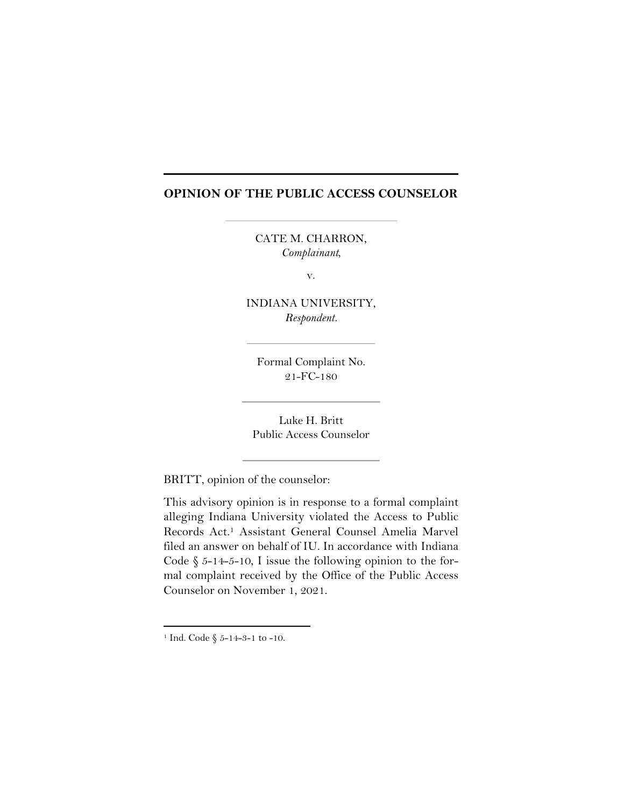## **OPINION OF THE PUBLIC ACCESS COUNSELOR**

CATE M. CHARRON, *Complainant,* 

v.

INDIANA UNIVERSITY, *Respondent.*

Formal Complaint No. 21-FC-180

Luke H. Britt Public Access Counselor

BRITT, opinion of the counselor:

This advisory opinion is in response to a formal complaint alleging Indiana University violated the Access to Public Records Act. <sup>1</sup> Assistant General Counsel Amelia Marvel filed an answer on behalf of IU. In accordance with Indiana Code  $\S$  5-14-5-10, I issue the following opinion to the formal complaint received by the Office of the Public Access Counselor on November 1, 2021.

<sup>&</sup>lt;sup>1</sup> Ind. Code  $\S$  5-14-3-1 to -10.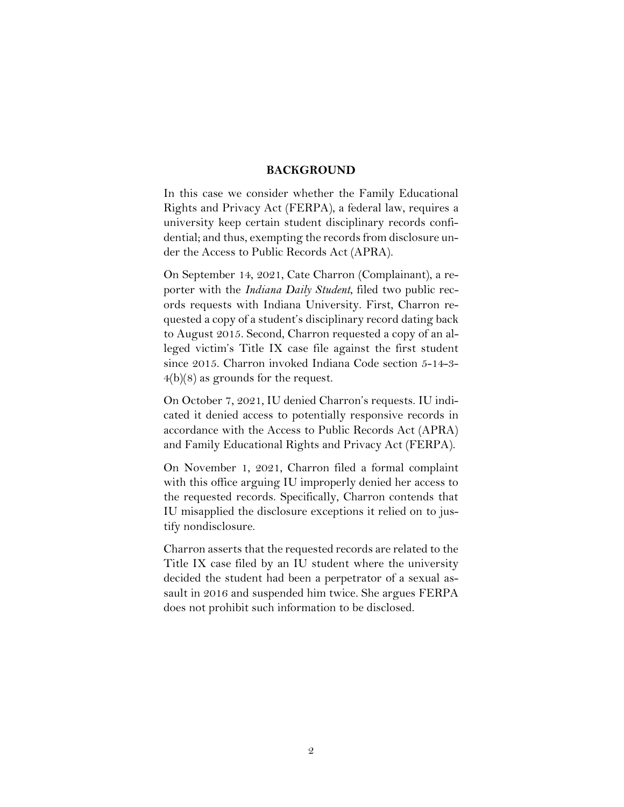## **BACKGROUND**

In this case we consider whether the Family Educational Rights and Privacy Act (FERPA), a federal law, requires a university keep certain student disciplinary records confidential; and thus, exempting the records from disclosure under the Access to Public Records Act (APRA).

On September 14, 2021, Cate Charron (Complainant), a reporter with the *Indiana Daily Student*, filed two public records requests with Indiana University. First, Charron requested a copy of a student's disciplinary record dating back to August 2015. Second, Charron requested a copy of an alleged victim's Title IX case file against the first student since 2015. Charron invoked Indiana Code section 5-14-3-  $4(b)(8)$  as grounds for the request.

On October 7, 2021, IU denied Charron's requests. IU indicated it denied access to potentially responsive records in accordance with the Access to Public Records Act (APRA) and Family Educational Rights and Privacy Act (FERPA).

On November 1, 2021, Charron filed a formal complaint with this office arguing IU improperly denied her access to the requested records. Specifically, Charron contends that IU misapplied the disclosure exceptions it relied on to justify nondisclosure.

Charron asserts that the requested records are related to the Title IX case filed by an IU student where the university decided the student had been a perpetrator of a sexual assault in 2016 and suspended him twice. She argues FERPA does not prohibit such information to be disclosed.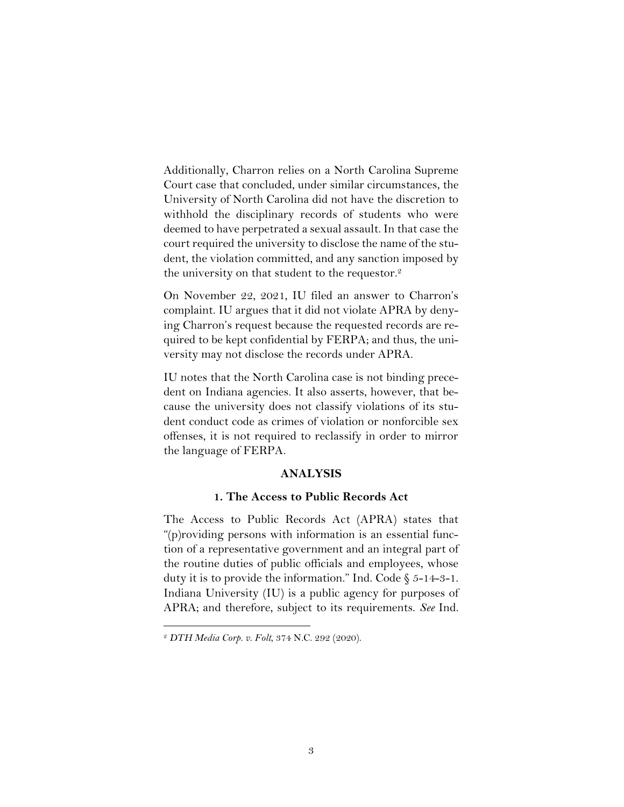Additionally, Charron relies on a North Carolina Supreme Court case that concluded, under similar circumstances, the University of North Carolina did not have the discretion to withhold the disciplinary records of students who were deemed to have perpetrated a sexual assault. In that case the court required the university to disclose the name of the student, the violation committed, and any sanction imposed by the university on that student to the requestor.<sup>2</sup>

On November 22, 2021, IU filed an answer to Charron's complaint. IU argues that it did not violate APRA by denying Charron's request because the requested records are required to be kept confidential by FERPA; and thus, the university may not disclose the records under APRA.

IU notes that the North Carolina case is not binding precedent on Indiana agencies. It also asserts, however, that because the university does not classify violations of its student conduct code as crimes of violation or nonforcible sex offenses, it is not required to reclassify in order to mirror the language of FERPA.

## **ANALYSIS**

#### **1. The Access to Public Records Act**

The Access to Public Records Act (APRA) states that "(p)roviding persons with information is an essential function of a representative government and an integral part of the routine duties of public officials and employees, whose duty it is to provide the information." Ind. Code  $\S$  5-14-3-1. Indiana University (IU) is a public agency for purposes of APRA; and therefore, subject to its requirements. *See* Ind.

<sup>2</sup> *DTH Media Corp. v. Folt*, 374 N.C. 292 (2020).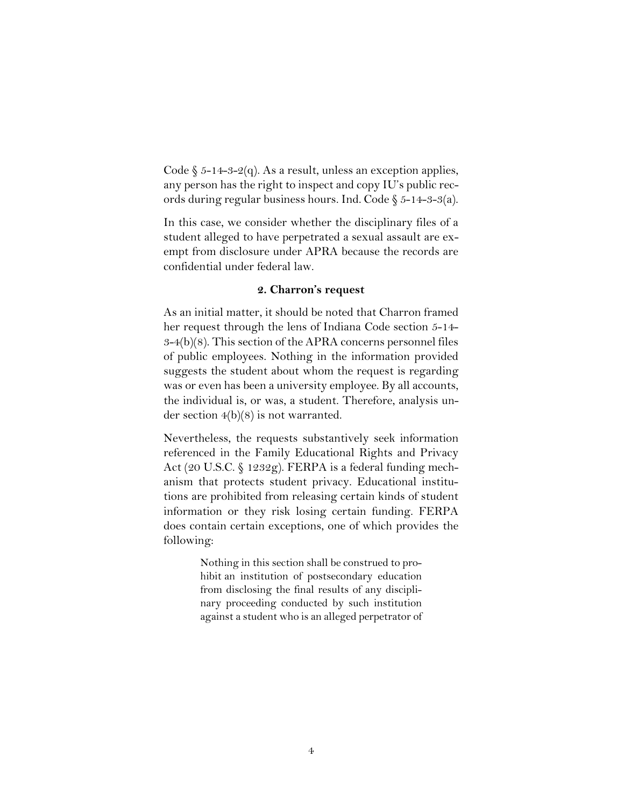Code  $\S$  5-14-3-2(q). As a result, unless an exception applies, any person has the right to inspect and copy IU's public records during regular business hours. Ind. Code § 5-14-3-3(a).

In this case, we consider whether the disciplinary files of a student alleged to have perpetrated a sexual assault are exempt from disclosure under APRA because the records are confidential under federal law.

#### **2. Charron's request**

As an initial matter, it should be noted that Charron framed her request through the lens of Indiana Code section 5-14- $3-4(b)(8)$ . This section of the APRA concerns personnel files of public employees. Nothing in the information provided suggests the student about whom the request is regarding was or even has been a university employee. By all accounts, the individual is, or was, a student. Therefore, analysis under section 4(b)(8) is not warranted.

Nevertheless, the requests substantively seek information referenced in the Family Educational Rights and Privacy Act (20 U.S.C. § 1232g). FERPA is a federal funding mechanism that protects student privacy. Educational institutions are prohibited from releasing certain kinds of student information or they risk losing certain funding. FERPA does contain certain exceptions, one of which provides the following:

> Nothing in this section shall be construed to prohibit an institution of postsecondary education from disclosing the final results of any disciplinary proceeding conducted by such institution against a student who is an alleged perpetrator of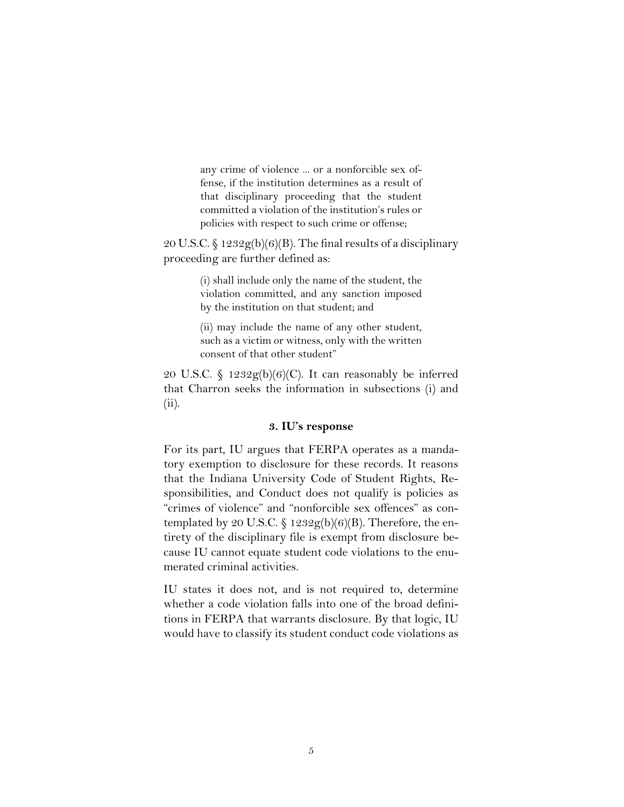any crime of violence ... or a nonforcible sex offense, if the institution determines as a result of that disciplinary proceeding that the student committed a violation of the institution's rules or policies with respect to such crime or offense;

20 U.S.C. § 1232 $g(b)(6)(B)$ . The final results of a disciplinary proceeding are further defined as:

> (i) shall include only the name of the student, the violation committed, and any sanction imposed by the institution on that student; and

> (ii) may include the name of any other student, such as a victim or witness, only with the written consent of that other student"

20 U.S.C. § 1232 $g(b)(6)(C)$ . It can reasonably be inferred that Charron seeks the information in subsections (i) and (ii).

## **3. IU's response**

For its part, IU argues that FERPA operates as a mandatory exemption to disclosure for these records. It reasons that the Indiana University Code of Student Rights, Responsibilities, and Conduct does not qualify is policies as "crimes of violence" and "nonforcible sex offences" as contemplated by 20 U.S.C.  $\frac{292g(b)(6)}{B}$ . Therefore, the entirety of the disciplinary file is exempt from disclosure because IU cannot equate student code violations to the enumerated criminal activities.

IU states it does not, and is not required to, determine whether a code violation falls into one of the broad definitions in FERPA that warrants disclosure. By that logic, IU would have to classify its student conduct code violations as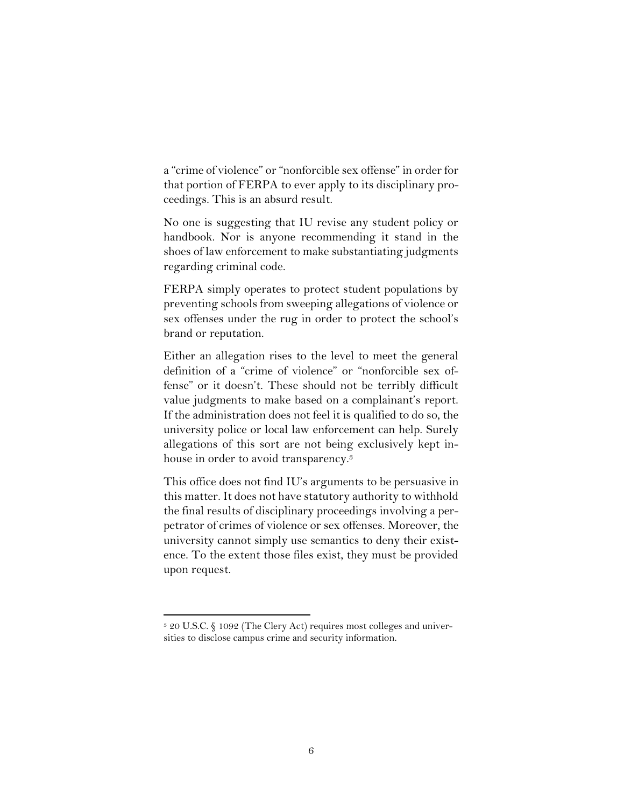a "crime of violence" or "nonforcible sex offense" in order for that portion of FERPA to ever apply to its disciplinary proceedings. This is an absurd result.

No one is suggesting that IU revise any student policy or handbook. Nor is anyone recommending it stand in the shoes of law enforcement to make substantiating judgments regarding criminal code.

FERPA simply operates to protect student populations by preventing schools from sweeping allegations of violence or sex offenses under the rug in order to protect the school's brand or reputation.

Either an allegation rises to the level to meet the general definition of a "crime of violence" or "nonforcible sex offense" or it doesn't. These should not be terribly difficult value judgments to make based on a complainant's report. If the administration does not feel it is qualified to do so, the university police or local law enforcement can help. Surely allegations of this sort are not being exclusively kept inhouse in order to avoid transparency. 3

This office does not find IU's arguments to be persuasive in this matter. It does not have statutory authority to withhold the final results of disciplinary proceedings involving a perpetrator of crimes of violence or sex offenses. Moreover, the university cannot simply use semantics to deny their existence. To the extent those files exist, they must be provided upon request.

<sup>3</sup> 20 U.S.C. § 1092 (The Clery Act) requires most colleges and universities to disclose campus crime and security information.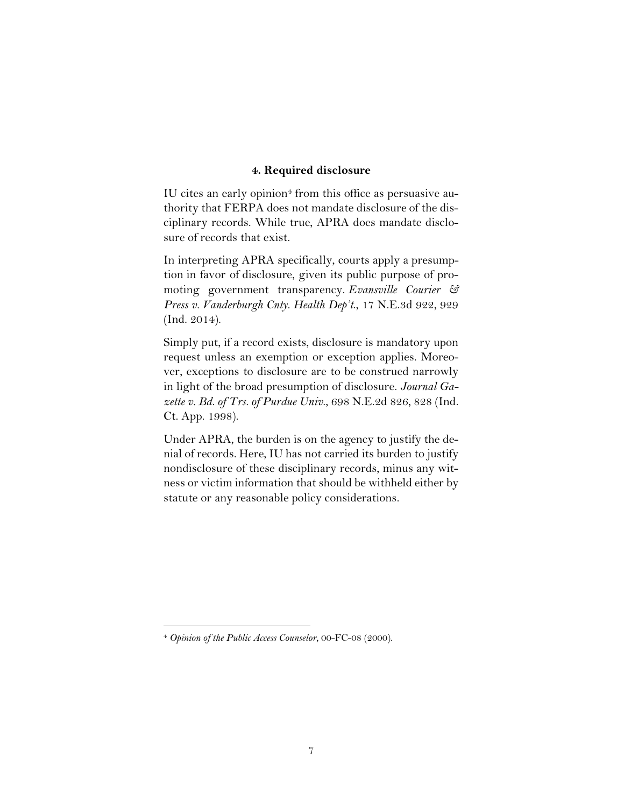## **4. Required disclosure**

IU cites an early opinion<sup>4</sup> from this office as persuasive authority that FERPA does not mandate disclosure of the disciplinary records. While true, APRA does mandate disclosure of records that exist.

In interpreting APRA specifically, courts apply a presumption in favor of disclosure, given its public purpose of promoting government transparency. *[Evansville Courier &](https://1.next.westlaw.com/Link/Document/FullText?findType=Y&serNum=2034545903&pubNum=0007902&originatingDoc=I6ed3fa3081e211eba39cfec032d8837e&refType=RP&fi=co_pp_sp_7902_929&originationContext=document&transitionType=DocumentItem&ppcid=724275ef5e594a6c971017a8e587194d&contextData=(sc.Search)#co_pp_sp_7902_929)  [Press v. Vanderburgh Cnty. Health Dep](https://1.next.westlaw.com/Link/Document/FullText?findType=Y&serNum=2034545903&pubNum=0007902&originatingDoc=I6ed3fa3081e211eba39cfec032d8837e&refType=RP&fi=co_pp_sp_7902_929&originationContext=document&transitionType=DocumentItem&ppcid=724275ef5e594a6c971017a8e587194d&contextData=(sc.Search)#co_pp_sp_7902_929)'t*., 17 N.E.3d 922, 929 [\(Ind. 2014\).](https://1.next.westlaw.com/Link/Document/FullText?findType=Y&serNum=2034545903&pubNum=0007902&originatingDoc=I6ed3fa3081e211eba39cfec032d8837e&refType=RP&fi=co_pp_sp_7902_929&originationContext=document&transitionType=DocumentItem&ppcid=724275ef5e594a6c971017a8e587194d&contextData=(sc.Search)#co_pp_sp_7902_929)

Simply put, if a record exists, disclosure is mandatory upon request unless an exemption or exception applies. Moreover, exceptions to disclosure are to be construed narrowly in light of the broad presumption of disclosure. *[Journal Ga](https://1.next.westlaw.com/Link/Document/FullText?findType=Y&serNum=1998177738&pubNum=0000578&originatingDoc=I6ed3fa3081e211eba39cfec032d8837e&refType=RP&fi=co_pp_sp_578_828&originationContext=document&transitionType=DocumentItem&ppcid=724275ef5e594a6c971017a8e587194d&contextData=(sc.Search)#co_pp_sp_578_828)[zette v. Bd. of Trs. of Purdue Univ](https://1.next.westlaw.com/Link/Document/FullText?findType=Y&serNum=1998177738&pubNum=0000578&originatingDoc=I6ed3fa3081e211eba39cfec032d8837e&refType=RP&fi=co_pp_sp_578_828&originationContext=document&transitionType=DocumentItem&ppcid=724275ef5e594a6c971017a8e587194d&contextData=(sc.Search)#co_pp_sp_578_828)*., 698 N.E.2d 826, 828 (Ind. [Ct. App. 1998\).](https://1.next.westlaw.com/Link/Document/FullText?findType=Y&serNum=1998177738&pubNum=0000578&originatingDoc=I6ed3fa3081e211eba39cfec032d8837e&refType=RP&fi=co_pp_sp_578_828&originationContext=document&transitionType=DocumentItem&ppcid=724275ef5e594a6c971017a8e587194d&contextData=(sc.Search)#co_pp_sp_578_828)

Under APRA, the burden is on the agency to justify the denial of records. Here, IU has not carried its burden to justify nondisclosure of these disciplinary records, minus any witness or victim information that should be withheld either by statute or any reasonable policy considerations.

<sup>4</sup> *Opinion of the Public Access Counselor*, 00-FC-08 (2000).